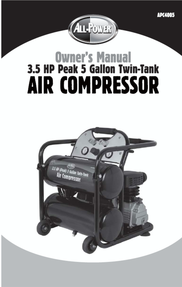APC4005



## **Owner's Manual<br>3.5 HP Peak 5 Gallon Twin-Tank AIR COMPRESSOR**

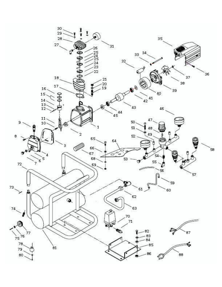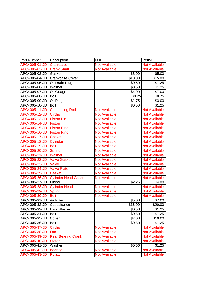| Part Number   | Description                 | <b>FOB</b>           | Retial               |
|---------------|-----------------------------|----------------------|----------------------|
| APC4005-01-JD | Crankcase                   | <b>Not Available</b> | <b>Not Available</b> |
| APC4005-02-JD | <b>Crank Shaft</b>          | <b>Not Available</b> | <b>Not Available</b> |
| APC4005-03-JD | Gasket                      | 33.00                | \$5.00               |
| APC4005-04-JD | <b>Crankcase Cover</b>      | $\frac{1}{10.00}$    | $\frac{1}{15.00}$    |
| APC4005-05-JD | Oil Drain Plug              | \$0.50               | \$1.25               |
| APC4005-06-JD | Washer                      | \$0.50               | \$1.25               |
| APC4005-07-JD | Oil Guage                   | \$4.00               | $\sqrt{$7.00}$       |
| APC4005-08-JD | <b>Bolt</b>                 | \$0.25               | \$0.75               |
| APC4005-09-JD | Oil Plug                    | \$1.75               | \$3.00               |
| APC4005-10-JD | <b>Bolt</b>                 | \$0.50               | \$1.25               |
| APC4005-11-JD | <b>Connecting Rod</b>       | <b>Not Available</b> | <b>Not Available</b> |
| APC4005-12-JD | <b>Circlip</b>              | <b>Not Available</b> | <b>Not Available</b> |
| APC4005-13-JD | <b>Piston Pin</b>           | <b>Not Available</b> | <b>Not Available</b> |
| APC4005-14-JD | Piston                      | <b>Not Available</b> | <b>Not Available</b> |
| APC4005-15-JD | <b>Piston Ring</b>          | <b>Not Available</b> | <b>Not Available</b> |
| APC4005-16-JD | <b>Piston Ring</b>          | <b>Not Available</b> | <b>Not Available</b> |
| APC4005-17-JD | Gasket                      | <b>Not Available</b> | <b>Not Available</b> |
| APC4005-18-JD | Cylinder                    | <b>Not Available</b> | <b>Not Available</b> |
| APC4005-19-JD | <b>Bolt</b>                 | <b>Not Available</b> | Not Available        |
| APC4005-20-JD | <b>Spring</b>               | <b>Not Available</b> | <b>Not Available</b> |
| APC4005-21-JD | Washer                      | <b>Not Available</b> | <b>Not Available</b> |
| APC4005-22-JD | <b>Valve Gasket</b>         | <b>Not Available</b> | <b>Not Available</b> |
| APC4005-23-JD | Valve                       | <b>Not Available</b> | <b>Not Available</b> |
| APC4005-24-JD | <b>Valve Plate</b>          | <b>Not Available</b> | <b>Not Available</b> |
| APC4005-25-JD | Gasket                      | <b>Not Available</b> | <b>Not Available</b> |
| APC4005-26-JD | <b>Cylinder Head Gasket</b> | <b>Not Available</b> | Not Available        |
| APC4005-27-JD | Elbow                       | \$2.25               | \$4.00               |
| APC4005-28-JD | <b>Cylinder Head</b>        | <b>Not Available</b> | <b>Not Available</b> |
| APC4005-29-JD | <b>Spring</b>               | <b>Not Available</b> | <b>Not Available</b> |
| APC4005-30-JD | <b>Bolt</b>                 | <b>Not Available</b> | <b>Not Available</b> |
| APC4005-31-JD | Air Filter                  | \$5.00               | \$7.00               |
| APC4005-32-JD | Capacitance                 | \$16.00              | \$20.00              |
| APC4005-33-JD | Lock Washer                 | \$0.50               | \$1.25               |
| APC4005-34-JD | <b>Bolt</b>                 | \$0.50               | \$1.25               |
| APC4005-35-JD | Cover                       | \$7.00               | \$10.00              |
| APC4005-36-JD | <b>Bolt</b>                 | \$0.50               | \$1.25               |
| APC4005-37-JD | <b>Circlip</b>              | <b>Not Available</b> | <b>Not Available</b> |
| APC4005-38-JD | Fan                         | <b>Not Available</b> | <b>Not Available</b> |
| APC4005-39-JD | <b>Rear Bearing Crank</b>   | <b>Not Available</b> | <b>Not Available</b> |
| APC4005-40-JD | <b>Stator</b>               | <b>Not Available</b> | Not Available        |
| APC4005-41-JD | Washer                      | \$0.50               | \$1.25               |
| APC4005-42-JD | <b>Bearing</b>              | <b>Not Available</b> | <b>Not Available</b> |
| APC4005-43-JD | Rotator                     | <b>Not Available</b> | <b>Not Available</b> |
|               |                             |                      |                      |